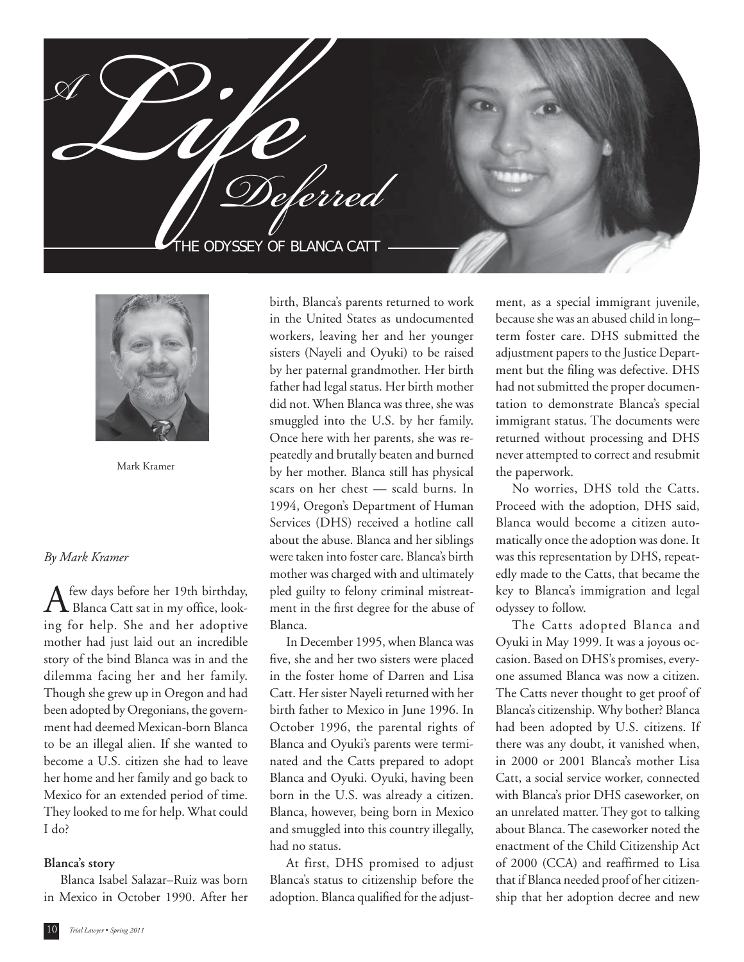**add photos - bianca** HE ODYSSEY OF BLANCA CATT  $\mathscr{L}$ Deferred



Mark Kramer

## *By Mark Kramer*

 $\mathbf{A}$  few days before her 19th birthday,<br>Blanca Catt sat in my office, looking for help. She and her adoptive mother had just laid out an incredible story of the bind Blanca was in and the dilemma facing her and her family. Though she grew up in Oregon and had been adopted by Oregonians, the government had deemed Mexican-born Blanca to be an illegal alien. If she wanted to become a U.S. citizen she had to leave her home and her family and go back to Mexico for an extended period of time. They looked to me for help. What could I do?

#### **Blanca's story**

 Blanca Isabel Salazar–Ruiz was born in Mexico in October 1990. After her

birth, Blanca's parents returned to work in the United States as undocumented workers, leaving her and her younger sisters (Nayeli and Oyuki) to be raised by her paternal grandmother. Her birth father had legal status. Her birth mother did not. When Blanca was three, she was smuggled into the U.S. by her family. Once here with her parents, she was repeatedly and brutally beaten and burned by her mother. Blanca still has physical scars on her chest — scald burns. In 1994, Oregon's Department of Human Services (DHS) received a hotline call about the abuse. Blanca and her siblings were taken into foster care. Blanca's birth mother was charged with and ultimately pled guilty to felony criminal mistreatment in the first degree for the abuse of Blanca.

 In December 1995, when Blanca was five, she and her two sisters were placed in the foster home of Darren and Lisa Catt. Her sister Nayeli returned with her birth father to Mexico in June 1996. In October 1996, the parental rights of Blanca and Oyuki's parents were terminated and the Catts prepared to adopt Blanca and Oyuki. Oyuki, having been born in the U.S. was already a citizen. Blanca, however, being born in Mexico and smuggled into this country illegally, had no status.

 At first, DHS promised to adjust Blanca's status to citizenship before the adoption. Blanca qualified for the adjustment, as a special immigrant juvenile, because she was an abused child in long– term foster care. DHS submitted the adjustment papers to the Justice Department but the filing was defective. DHS had not submitted the proper documentation to demonstrate Blanca's special immigrant status. The documents were returned without processing and DHS never attempted to correct and resubmit the paperwork.

 No worries, DHS told the Catts. Proceed with the adoption, DHS said, Blanca would become a citizen automatically once the adoption was done. It was this representation by DHS, repeatedly made to the Catts, that became the key to Blanca's immigration and legal odyssey to follow.

 The Catts adopted Blanca and Oyuki in May 1999. It was a joyous occasion. Based on DHS's promises, everyone assumed Blanca was now a citizen. The Catts never thought to get proof of Blanca's citizenship. Why bother? Blanca had been adopted by U.S. citizens. If there was any doubt, it vanished when, in 2000 or 2001 Blanca's mother Lisa Catt, a social service worker, connected with Blanca's prior DHS caseworker, on an unrelated matter. They got to talking about Blanca. The caseworker noted the enactment of the Child Citizenship Act of 2000 (CCA) and reaffirmed to Lisa that if Blanca needed proof of her citizenship that her adoption decree and new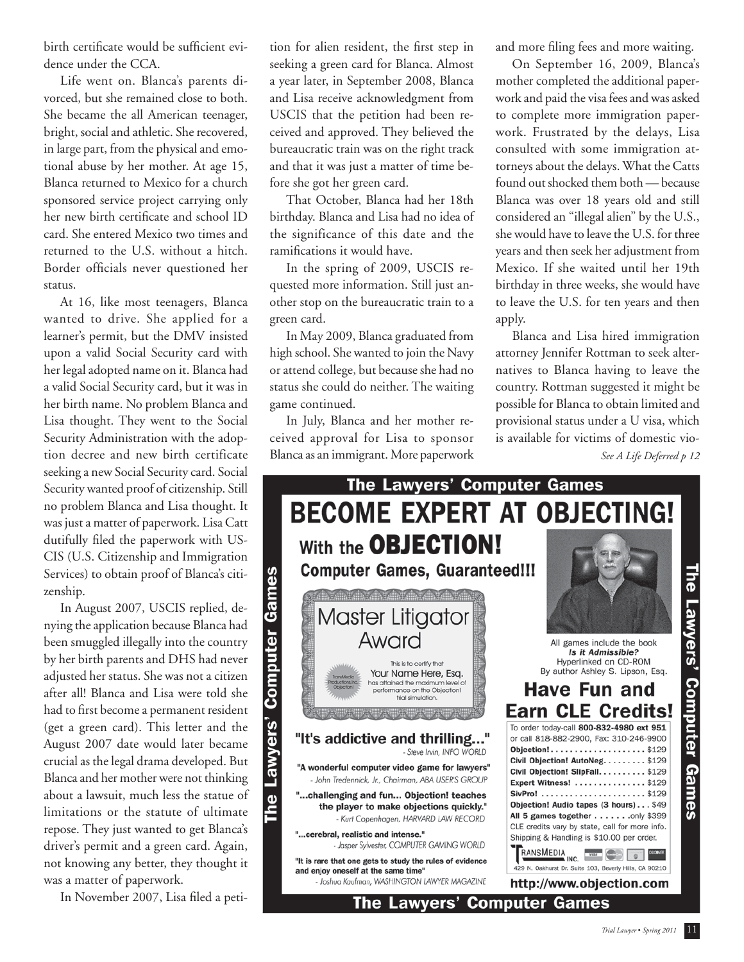birth certificate would be sufficient evidence under the CCA.

 Life went on. Blanca's parents divorced, but she remained close to both. She became the all American teenager, bright, social and athletic. She recovered, in large part, from the physical and emotional abuse by her mother. At age 15, Blanca returned to Mexico for a church sponsored service project carrying only her new birth certificate and school ID card. She entered Mexico two times and returned to the U.S. without a hitch. Border officials never questioned her status.

 At 16, like most teenagers, Blanca wanted to drive. She applied for a learner's permit, but the DMV insisted upon a valid Social Security card with her legal adopted name on it. Blanca had a valid Social Security card, but it was in her birth name. No problem Blanca and Lisa thought. They went to the Social Security Administration with the adoption decree and new birth certificate seeking a new Social Security card. Social Security wanted proof of citizenship. Still no problem Blanca and Lisa thought. It was just a matter of paperwork. Lisa Catt dutifully filed the paperwork with US-CIS (U.S. Citizenship and Immigration Services) to obtain proof of Blanca's citizenship.

 In August 2007, USCIS replied, denying the application because Blanca had been smuggled illegally into the country by her birth parents and DHS had never adjusted her status. She was not a citizen after all! Blanca and Lisa were told she had to first become a permanent resident (get a green card). This letter and the August 2007 date would later became crucial as the legal drama developed. But Blanca and her mother were not thinking about a lawsuit, much less the statue of limitations or the statute of ultimate repose. They just wanted to get Blanca's driver's permit and a green card. Again, not knowing any better, they thought it was a matter of paperwork.

In November 2007, Lisa filed a peti-

tion for alien resident, the first step in seeking a green card for Blanca. Almost a year later, in September 2008, Blanca and Lisa receive acknowledgment from USCIS that the petition had been received and approved. They believed the bureaucratic train was on the right track and that it was just a matter of time before she got her green card.

 That October, Blanca had her 18th birthday. Blanca and Lisa had no idea of the significance of this date and the ramifications it would have.

 In the spring of 2009, USCIS requested more information. Still just another stop on the bureaucratic train to a green card.

 In May 2009, Blanca graduated from high school. She wanted to join the Navy or attend college, but because she had no status she could do neither. The waiting game continued.

 In July, Blanca and her mother received approval for Lisa to sponsor Blanca as an immigrant. More paperwork and more filing fees and more waiting.

 On September 16, 2009, Blanca's mother completed the additional paperwork and paid the visa fees and was asked to complete more immigration paperwork. Frustrated by the delays, Lisa consulted with some immigration attorneys about the delays. What the Catts found out shocked them both — because Blanca was over 18 years old and still considered an "illegal alien" by the U.S., she would have to leave the U.S. for three years and then seek her adjustment from Mexico. If she waited until her 19th birthday in three weeks, she would have to leave the U.S. for ten years and then apply.

 Blanca and Lisa hired immigration attorney Jennifer Rottman to seek alternatives to Blanca having to leave the country. Rottman suggested it might be possible for Blanca to obtain limited and provisional status under a U visa, which is available for victims of domestic vio-

*See A Life Deferred p 12*



The Lawyers' Computer Games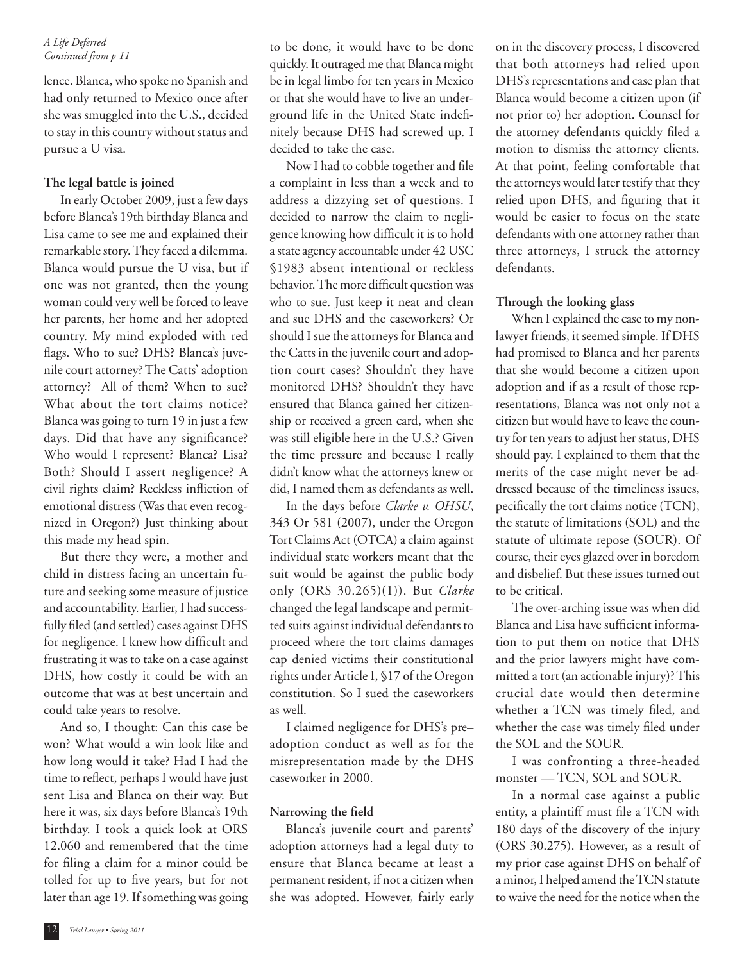#### *A Life Deferred Continued from p 11*

lence. Blanca, who spoke no Spanish and had only returned to Mexico once after she was smuggled into the U.S., decided to stay in this country without status and pursue a U visa.

## **The legal battle is joined**

 In early October 2009, just a few days before Blanca's 19th birthday Blanca and Lisa came to see me and explained their remarkable story. They faced a dilemma. Blanca would pursue the U visa, but if one was not granted, then the young woman could very well be forced to leave her parents, her home and her adopted country. My mind exploded with red flags. Who to sue? DHS? Blanca's juvenile court attorney? The Catts' adoption attorney? All of them? When to sue? What about the tort claims notice? Blanca was going to turn 19 in just a few days. Did that have any significance? Who would I represent? Blanca? Lisa? Both? Should I assert negligence? A civil rights claim? Reckless infliction of emotional distress (Was that even recognized in Oregon?) Just thinking about this made my head spin.

 But there they were, a mother and child in distress facing an uncertain future and seeking some measure of justice and accountability. Earlier, I had successfully filed (and settled) cases against DHS for negligence. I knew how difficult and frustrating it was to take on a case against DHS, how costly it could be with an outcome that was at best uncertain and could take years to resolve.

 And so, I thought: Can this case be won? What would a win look like and how long would it take? Had I had the time to reflect, perhaps I would have just sent Lisa and Blanca on their way. But here it was, six days before Blanca's 19th birthday. I took a quick look at ORS 12.060 and remembered that the time for filing a claim for a minor could be tolled for up to five years, but for not later than age 19. If something was going to be done, it would have to be done quickly. It outraged me that Blanca might be in legal limbo for ten years in Mexico or that she would have to live an underground life in the United State indefinitely because DHS had screwed up. I decided to take the case.

Now I had to cobble together and file a complaint in less than a week and to address a dizzying set of questions. I decided to narrow the claim to negligence knowing how difficult it is to hold a state agency accountable under 42 USC §1983 absent intentional or reckless behavior. The more difficult question was who to sue. Just keep it neat and clean and sue DHS and the caseworkers? Or should I sue the attorneys for Blanca and the Catts in the juvenile court and adoption court cases? Shouldn't they have monitored DHS? Shouldn't they have ensured that Blanca gained her citizenship or received a green card, when she was still eligible here in the U.S.? Given the time pressure and because I really didn't know what the attorneys knew or did, I named them as defendants as well.

 In the days before *Clarke v. OHSU*, 343 Or 581 (2007), under the Oregon Tort Claims Act (OTCA) a claim against individual state workers meant that the suit would be against the public body only (ORS 30.265)(1)). But *Clarke*  changed the legal landscape and permitted suits against individual defendants to proceed where the tort claims damages cap denied victims their constitutional rights under Article I, §17 of the Oregon constitution. So I sued the caseworkers as well.

 I claimed negligence for DHS's pre– adoption conduct as well as for the misrepresentation made by the DHS caseworker in 2000.

# Narrowing the field

 Blanca's juvenile court and parents' adoption attorneys had a legal duty to ensure that Blanca became at least a permanent resident, if not a citizen when she was adopted. However, fairly early on in the discovery process, I discovered that both attorneys had relied upon DHS's representations and case plan that Blanca would become a citizen upon (if not prior to) her adoption. Counsel for the attorney defendants quickly filed a motion to dismiss the attorney clients. At that point, feeling comfortable that the attorneys would later testify that they relied upon DHS, and figuring that it would be easier to focus on the state defendants with one attorney rather than three attorneys, I struck the attorney defendants.

# **Through the looking glass**

 When I explained the case to my nonlawyer friends, it seemed simple. If DHS had promised to Blanca and her parents that she would become a citizen upon adoption and if as a result of those representations, Blanca was not only not a citizen but would have to leave the country for ten years to adjust her status, DHS should pay. I explained to them that the merits of the case might never be addressed because of the timeliness issues, pecifically the tort claims notice (TCN), the statute of limitations (SOL) and the statute of ultimate repose (SOUR). Of course, their eyes glazed over in boredom and disbelief. But these issues turned out to be critical.

 The over-arching issue was when did Blanca and Lisa have sufficient information to put them on notice that DHS and the prior lawyers might have committed a tort (an actionable injury)? This crucial date would then determine whether a TCN was timely filed, and whether the case was timely filed under the SOL and the SOUR.

 I was confronting a three-headed monster — TCN, SOL and SOUR.

 In a normal case against a public entity, a plaintiff must file a TCN with 180 days of the discovery of the injury (ORS 30.275). However, as a result of my prior case against DHS on behalf of a minor, I helped amend the TCN statute to waive the need for the notice when the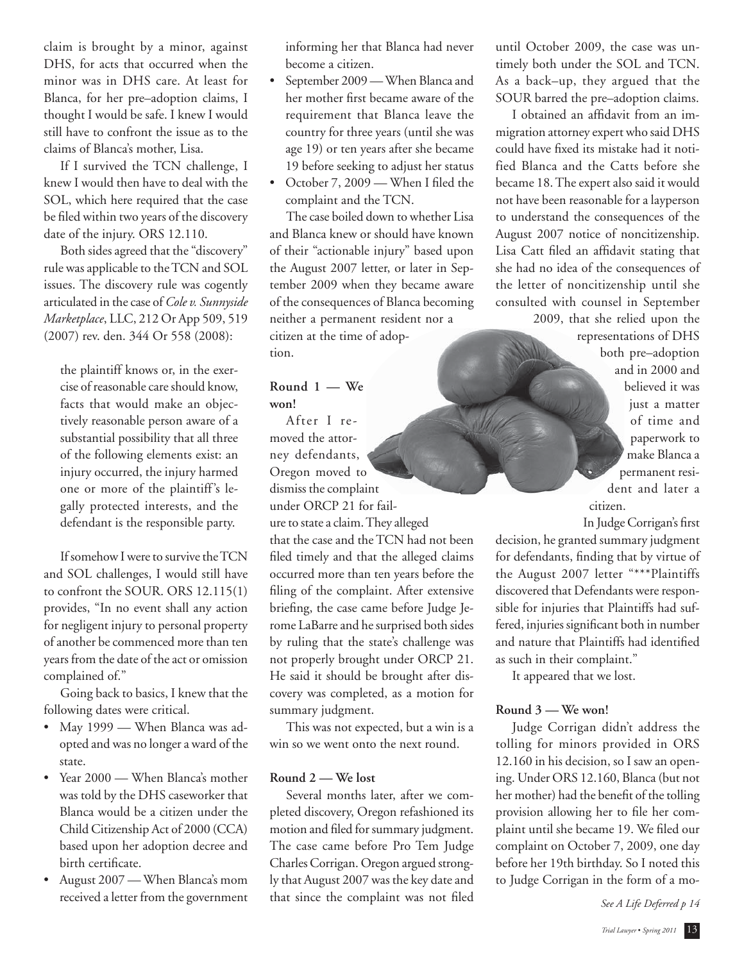claim is brought by a minor, against DHS, for acts that occurred when the minor was in DHS care. At least for Blanca, for her pre–adoption claims, I thought I would be safe. I knew I would still have to confront the issue as to the claims of Blanca's mother, Lisa.

 If I survived the TCN challenge, I knew I would then have to deal with the SOL, which here required that the case be filed within two years of the discovery date of the injury. ORS 12.110.

 Both sides agreed that the "discovery" rule was applicable to the TCN and SOL issues. The discovery rule was cogently articulated in the case of *Cole v. Sunnyside Marketplace*, LLC, 212 Or App 509, 519 (2007) rev. den. 344 Or 558 (2008):

the plaintiff knows or, in the exercise of reasonable care should know, facts that would make an objectively reasonable person aware of a substantial possibility that all three of the following elements exist: an injury occurred, the injury harmed one or more of the plaintiff's legally protected interests, and the defendant is the responsible party.

 If somehow I were to survive the TCN and SOL challenges, I would still have to confront the SOUR. ORS 12.115(1) provides, "In no event shall any action for negligent injury to personal property of another be commenced more than ten years from the date of the act or omission complained of."

 Going back to basics, I knew that the following dates were critical.

- May 1999 When Blanca was adopted and was no longer a ward of the state.
- Year 2000 When Blanca's mother was told by the DHS caseworker that Blanca would be a citizen under the Child Citizenship Act of 2000 (CCA) based upon her adoption decree and birth certificate.
- August 2007 When Blanca's mom received a letter from the government

informing her that Blanca had never become a citizen.

- September 2009 When Blanca and her mother first became aware of the requirement that Blanca leave the country for three years (until she was age 19) or ten years after she became 19 before seeking to adjust her status
- October 7, 2009 When I filed the complaint and the TCN.

 The case boiled down to whether Lisa and Blanca knew or should have known of their "actionable injury" based upon the August 2007 letter, or later in September 2009 when they became aware of the consequences of Blanca becoming neither a permanent resident nor a citizen at the time of adoption.

## **Round 1 — We won!**

 After I removed the attorney defendants, Oregon moved to dismiss the complaint under ORCP 21 for failure to state a claim. They alleged that the case and the TCN had not been filed timely and that the alleged claims occurred more than ten years before the filing of the complaint. After extensive briefing, the case came before Judge Jerome LaBarre and he surprised both sides by ruling that the state's challenge was not properly brought under ORCP 21. He said it should be brought after discovery was completed, as a motion for summary judgment.

 This was not expected, but a win is a win so we went onto the next round.

## **Round 2 — We lost**

 Several months later, after we completed discovery, Oregon refashioned its motion and filed for summary judgment. The case came before Pro Tem Judge Charles Corrigan. Oregon argued strongly that August 2007 was the key date and that since the complaint was not filed

until October 2009, the case was untimely both under the SOL and TCN. As a back–up, they argued that the SOUR barred the pre–adoption claims.

I obtained an affidavit from an immigration attorney expert who said DHS could have fixed its mistake had it notified Blanca and the Catts before she became 18. The expert also said it would not have been reasonable for a layperson to understand the consequences of the August 2007 notice of noncitizenship. Lisa Catt filed an affidavit stating that she had no idea of the consequences of the letter of noncitizenship until she consulted with counsel in September 2009, that she relied upon the

representations of DHS both pre–adoption and in 2000 and believed it was just a matter of time and paperwork to make Blanca a permanent resident and later a citizen.

In Judge Corrigan's first decision, he granted summary judgment for defendants, finding that by virtue of the August 2007 letter "\*\*\*Plaintiffs discovered that Defendants were responsible for injuries that Plaintiffs had suffered, injuries significant both in number and nature that Plaintiffs had identified as such in their complaint."

It appeared that we lost.

## **Round 3 — We won!**

 Judge Corrigan didn't address the tolling for minors provided in ORS 12.160 in his decision, so I saw an opening. Under ORS 12.160, Blanca (but not her mother) had the benefit of the tolling provision allowing her to file her complaint until she became 19. We filed our complaint on October 7, 2009, one day before her 19th birthday. So I noted this to Judge Corrigan in the form of a mo-

*See A Life Deferred p 14*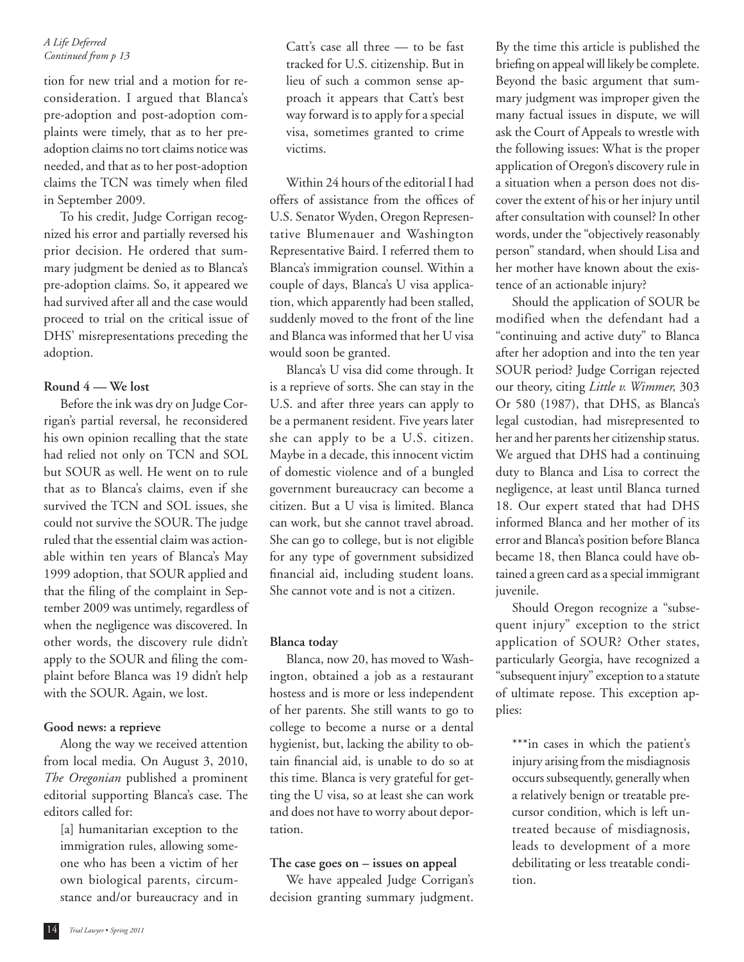#### *A Life Deferred Continued from p 13*

tion for new trial and a motion for reconsideration. I argued that Blanca's pre-adoption and post-adoption complaints were timely, that as to her preadoption claims no tort claims notice was needed, and that as to her post-adoption claims the TCN was timely when filed in September 2009.

 To his credit, Judge Corrigan recognized his error and partially reversed his prior decision. He ordered that summary judgment be denied as to Blanca's pre-adoption claims. So, it appeared we had survived after all and the case would proceed to trial on the critical issue of DHS' misrepresentations preceding the adoption.

## **Round 4 — We lost**

 Before the ink was dry on Judge Corrigan's partial reversal, he reconsidered his own opinion recalling that the state had relied not only on TCN and SOL but SOUR as well. He went on to rule that as to Blanca's claims, even if she survived the TCN and SOL issues, she could not survive the SOUR. The judge ruled that the essential claim was actionable within ten years of Blanca's May 1999 adoption, that SOUR applied and that the filing of the complaint in September 2009 was untimely, regardless of when the negligence was discovered. In other words, the discovery rule didn't apply to the SOUR and filing the complaint before Blanca was 19 didn't help with the SOUR. Again, we lost.

#### **Good news: a reprieve**

 Along the way we received attention from local media. On August 3, 2010, *The Oregonian* published a prominent editorial supporting Blanca's case. The editors called for:

[a] humanitarian exception to the immigration rules, allowing someone who has been a victim of her own biological parents, circumstance and/or bureaucracy and in

Catt's case all three — to be fast tracked for U.S. citizenship. But in lieu of such a common sense approach it appears that Catt's best way forward is to apply for a special visa, sometimes granted to crime victims.

 Within 24 hours of the editorial I had offers of assistance from the offices of U.S. Senator Wyden, Oregon Representative Blumenauer and Washington Representative Baird. I referred them to Blanca's immigration counsel. Within a couple of days, Blanca's U visa application, which apparently had been stalled, suddenly moved to the front of the line and Blanca was informed that her U visa would soon be granted.

 Blanca's U visa did come through. It is a reprieve of sorts. She can stay in the U.S. and after three years can apply to be a permanent resident. Five years later she can apply to be a U.S. citizen. Maybe in a decade, this innocent victim of domestic violence and of a bungled government bureaucracy can become a citizen. But a U visa is limited. Blanca can work, but she cannot travel abroad. She can go to college, but is not eligible for any type of government subsidized financial aid, including student loans. She cannot vote and is not a citizen.

## **Blanca today**

 Blanca, now 20, has moved to Washington, obtained a job as a restaurant hostess and is more or less independent of her parents. She still wants to go to college to become a nurse or a dental hygienist, but, lacking the ability to obtain financial aid, is unable to do so at this time. Blanca is very grateful for getting the U visa, so at least she can work and does not have to worry about deportation.

## **The case goes on – issues on appeal**

 We have appealed Judge Corrigan's decision granting summary judgment.

By the time this article is published the briefing on appeal will likely be complete. Beyond the basic argument that summary judgment was improper given the many factual issues in dispute, we will ask the Court of Appeals to wrestle with the following issues: What is the proper application of Oregon's discovery rule in a situation when a person does not discover the extent of his or her injury until after consultation with counsel? In other words, under the "objectively reasonably person" standard, when should Lisa and her mother have known about the existence of an actionable injury?

 Should the application of SOUR be modified when the defendant had a "continuing and active duty" to Blanca after her adoption and into the ten year SOUR period? Judge Corrigan rejected our theory, citing *Little v. Wimmer,* 303 Or 580 (1987), that DHS, as Blanca's legal custodian, had misrepresented to her and her parents her citizenship status. We argued that DHS had a continuing duty to Blanca and Lisa to correct the negligence, at least until Blanca turned 18. Our expert stated that had DHS informed Blanca and her mother of its error and Blanca's position before Blanca became 18, then Blanca could have obtained a green card as a special immigrant juvenile.

 Should Oregon recognize a "subsequent injury" exception to the strict application of SOUR? Other states, particularly Georgia, have recognized a "subsequent injury" exception to a statute of ultimate repose. This exception applies:

\*\*\*in cases in which the patient's injury arising from the misdiagnosis occurs subsequently, generally when a relatively benign or treatable precursor condition, which is left untreated because of misdiagnosis, leads to development of a more debilitating or less treatable condition.